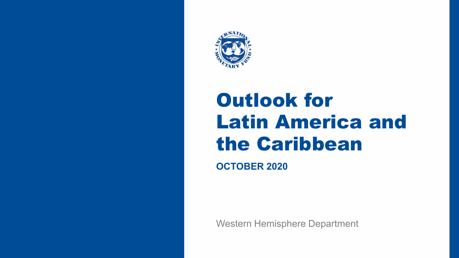

# Outlook for Latin America and the Caribbean

**OCTOBER 2020**

INTERNATIONAL MONETARY FUND 1, INTERNATIONAL MONETARY FUND 1, INTERNATIONAL MONETARY FUND 1, INTERNATIONAL MON

Western Hemisphere Department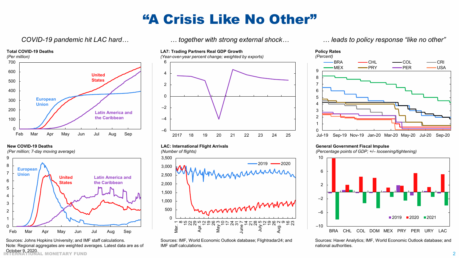### "A Crisis Like No Other"



**New COVID-19 Deaths**

*(Per million; 7-day moving average)*



ITONAL MONETARY FUND 22 POSTAGE AND RESERVE TO A 2 POSTAGE AND RESERVE TO A 2 POSTAGE AND RESERVE TO A 2 POSTAGE AND Sources: Johns Hopkins University; and IMF staff calculations. Note: Regional aggregates are weighted averages. Latest data are as of October 9, 2020.

*COVID-19 pandemic hit LAC hard… … together with strong external shock…*



#### **LAC: International Flight Arrivals** *(Number of flights)*



Sources: IMF, World Economic Outlook database; Flightradar24; and IMF staff calculations.

*… leads to policy response "like no other"*



Jul-19 Sep-19 Nov-19 Jan-20 Mar-20 May-20 Jul-20 Sep-20

**General Government Fiscal Impulse** *(Percentage points of GDP; +/– loosening/tightening)*



Sources: Haver Analytics; IMF, World Economic Outlook database; and national authorities.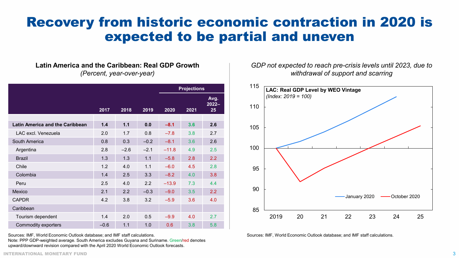#### Recovery from historic economic contraction in 2020 is expected to be partial and uneven

#### **Latin America and the Caribbean: Real GDP Growth** *(Percent, year-over-year)*

|                                        |        |        |        | <b>Projections</b> |      |                        |
|----------------------------------------|--------|--------|--------|--------------------|------|------------------------|
|                                        | 2017   | 2018   | 2019   | 2020               | 2021 | Avg.<br>$2022 -$<br>25 |
|                                        |        |        |        |                    |      |                        |
| <b>Latin America and the Caribbean</b> | 1.4    | 1.1    | 0.0    | $-8.1$             | 3.6  | 2.6                    |
| LAC excl. Venezuela                    | 2.0    | 1.7    | 0.8    | $-7.8$             | 3.8  | 2.7                    |
| South America                          | 0.8    | 0.3    | $-0.2$ | $-8.1$             | 3.6  | 2.6                    |
| Argentina                              | 2.8    | $-2.6$ | $-2.1$ | $-11.8$            | 4.9  | 2.5                    |
| <b>Brazil</b>                          | 1.3    | 1.3    | 1.1    | $-5.8$             | 2.8  | 2.2                    |
| Chile                                  | 1.2    | 4.0    | 1.1    | $-6.0$             | 4.5  | 2.8                    |
| Colombia                               | 1.4    | 2.5    | 3.3    | $-8.2$             | 4.0  | 3.8                    |
| Peru                                   | 2.5    | 4.0    | 2.2    | $-13.9$            | 7.3  | 4.4                    |
| Mexico                                 | 2.1    | 2.2    | $-0.3$ | $-9.0$             | 3.5  | 2.2                    |
| <b>CAPDR</b>                           | 4.2    | 3.8    | 3.2    | $-5.9$             | 3.6  | 4.0                    |
| Caribbean                              |        |        |        |                    |      |                        |
| Tourism dependent                      | 1.4    | 2.0    | 0.5    | $-9.9$             | 4.0  | 2.7                    |
| Commodity exporters                    | $-0.6$ | 1.1    | 1.0    | 0.6                | 3.8  | 5.8                    |

Sources: IMF, World Economic Outlook database; and IMF staff calculations. Note: PPP GDP-weighted average. South America excludes Guyana and Suriname. Green/red denotes upward/downward revision compared with the April 2020 World Economic Outlook forecasts.

#### *GDP not expected to reach pre-crisis levels until 2023, due to withdrawal of support and scarring*



Sources: IMF, World Economic Outlook database; and IMF staff calculations.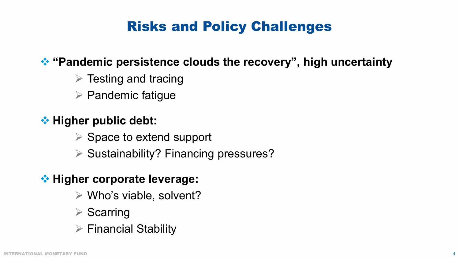## Risks and Policy Challenges

#### **\*** "Pandemic persistence clouds the recovery", high uncertainty

- $\triangleright$  Testing and tracing
- $\triangleright$  Pandemic fatigue

#### **→ Higher public debt:**

- $\triangleright$  Space to extend support
- $\triangleright$  Sustainability? Financing pressures?

#### **<del>❖</del> Higher corporate leverage:**

- $\triangleright$  Who's viable, solvent?
- $\triangleright$  Scarring
- $\triangleright$  Financial Stability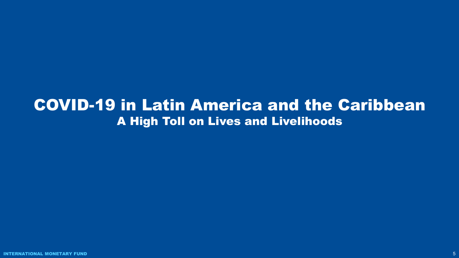### COVID-19 in Latin America and the Caribbean A High Toll on Lives and Livelihoods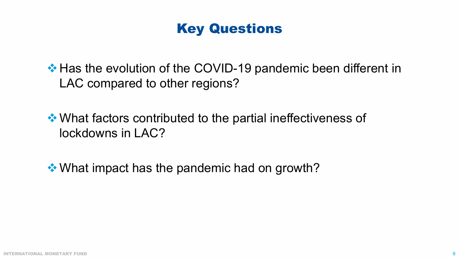### Key Questions

◆ Has the evolution of the COVID-19 pandemic been different in LAC compared to other regions?

◆ What factors contributed to the partial ineffectiveness of lockdowns in LAC?

**❖ What impact has the pandemic had on growth?**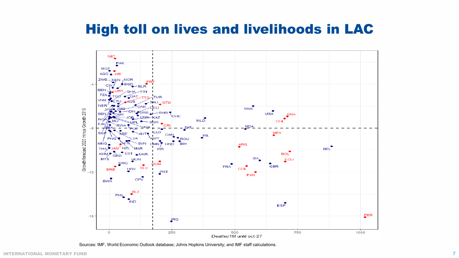#### High toll on lives and livelihoods in LAC



Sources: IMF, World Economic Outlook database; Johns Hopkins University; and IMF staff calculations.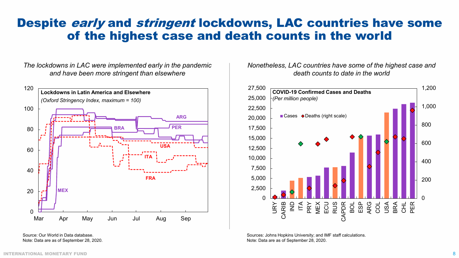#### Despite *early* and *stringent* lockdowns, LAC countries have some of the highest case and death counts in the world

*The lockdowns in LAC were implemented early in the pandemic and have been more stringent than elsewhere*



Source: Our World in Data database. Note: Data are as of September 28, 2020. *Nonetheless, LAC countries have some of the highest case and death counts to date in the world*



Sources: Johns Hopkins University; and IMF staff calculations. Note: Data are as of September 28, 2020.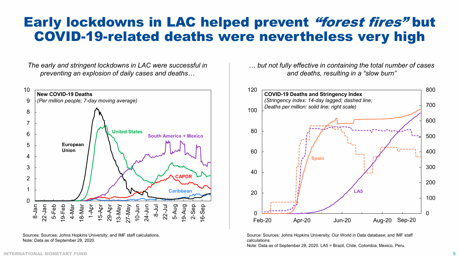#### Early lockdowns in LAC helped prevent "forest fires" but COVID-19-related deaths were nevertheless very high

*The early and stringent lockdowns in LAC were successful in preventing an explosion of daily cases and deaths…*



Sources: Sources: Johns Hopkins University; and IMF staff calculations. Note: Data as of September 28, 2020.

*… but not fully effective in containing the total number of cases and deaths, resulting in a "slow burn"*



Source: Sources: Johns Hopkins University; Our World in Data database; and IMF staff calculations.

Note: Data as of September 28, 2020. LA5 = Brazil, Chile, Colombia, Mexico, Peru.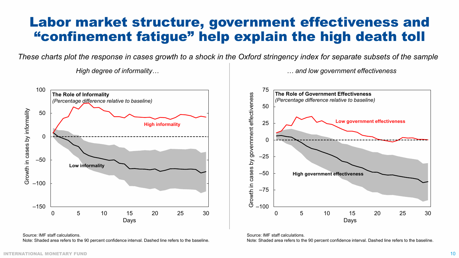#### Labor market structure, government effectiveness and "confinement fatigue" help explain the high death toll

*These charts plot the response in cases growth to a shock in the Oxford stringency index for separate subsets of the sample*



*High degree of informality…*

*… and low government effectiveness*



Source: IMF staff calculations. Note: Shaded area refers to the 90 percent confidence interval. Dashed line refers to the baseline.

Source: IMF staff calculations. Note: Shaded area refers to the 90 percent confidence interval. Dashed line refers to the baseline.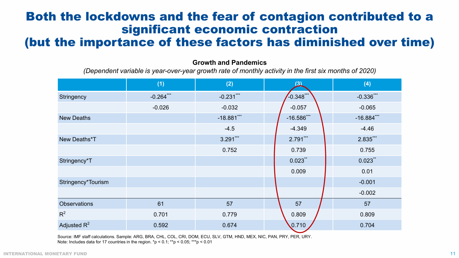#### Both the lockdowns and the fear of contagion contributed to a significant economic contraction (but the importance of these factors has diminished over time)

**Growth and Pandemics**

*(Dependent variable is year-over-year growth rate of monthly activity in the first six months of 2020)*

|                     | (1)         | (2)          | (3)           | (4)          |  |
|---------------------|-------------|--------------|---------------|--------------|--|
| Stringency          | $-0.264***$ | $-0.231***$  | $-0.348***$   | $-0.336***$  |  |
|                     | $-0.026$    | $-0.032$     | $-0.057$      | $-0.065$     |  |
| <b>New Deaths</b>   |             | $-18.881***$ | $-16.586$ *** | $-16.884***$ |  |
|                     |             | $-4.5$       | $-4.349$      | $-4.46$      |  |
| New Deaths*T        |             | $3.291***$   | $2.791***$    | 2.835***     |  |
|                     |             | 0.752        | 0.739         | 0.755        |  |
| Stringency*T        |             |              | $0.023**$     | $0.023$ **   |  |
|                     |             |              | 0.009         | 0.01         |  |
| Stringency*Tourism  |             |              |               | $-0.001$     |  |
|                     |             |              |               | $-0.002$     |  |
| <b>Observations</b> | 61          | 57           | 57            | 57           |  |
| $R^2$               | 0.701       | 0.779        | 0.809         | 0.809        |  |
| Adjusted $R^2$      | 0.592       | 0.674        | 0.710         | 0.704        |  |

Source: IMF staff calculations. Sample: ARG, BRA, CHL, COL, CRI, DOM, ECU, SLV, GTM, HND, MEX, NIC, PAN, PRY, PER, URY. Note: Includes data for 17 countries in the region.  $p > 0.1$ ;  $p > 0.05$ ;  $p > 0.01$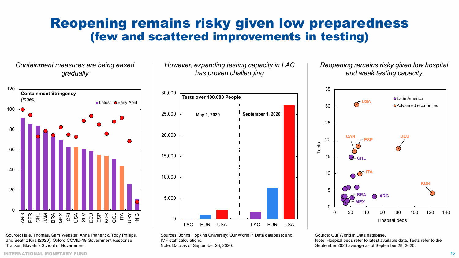#### Reopening remains risky given low preparedness (few and scattered improvements in testing)

*Containment measures are being eased gradually*



Source: Hale, Thomas, Sam Webster, Anna Petherick, Toby Phillips, and Beatriz Kira (2020). Oxford COVID-19 Government Response Tracker, Blavatnik School of Government.

*However, expanding testing capacity in LAC has proven challenging*



Sources: Johns Hopkins University; Our World in Data database; and IMF staff calculations. Note: Data as of September 28, 2020.

*Reopening remains risky given low hospital and weak testing capacity*



Source: Our World in Data database. Note: Hospital beds refer to latest available data. Tests refer to the September 2020 average as of September 28, 2020.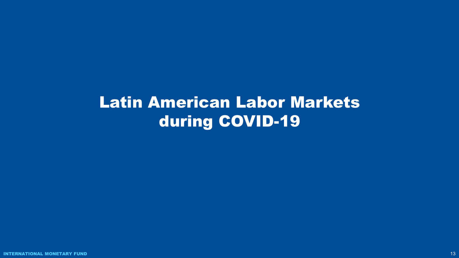## Latin American Labor Markets during COVID-19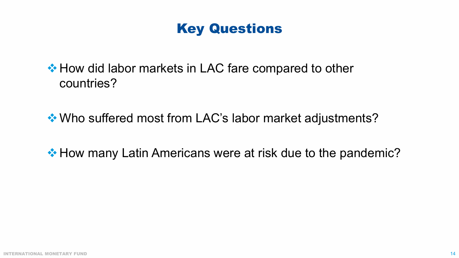### Key Questions

**★ How did labor markets in LAC fare compared to other** countries?

◆ Who suffered most from LAC's labor market adjustments?

◆ How many Latin Americans were at risk due to the pandemic?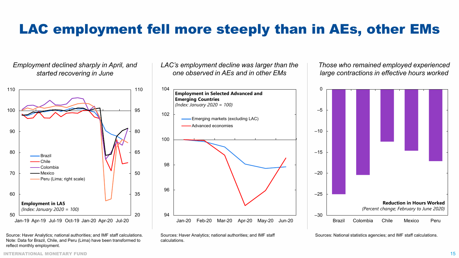### LAC employment fell more steeply than in AEs, other EMs

*Employment declined sharply in April, and started recovering in June*



Source: Haver Analytics; national authorities; and IMF staff calculations. Note: Data for Brazil, Chile, and Peru (Lima) have been transformed to reflect monthly employment.

*LAC's employment decline was larger than the one observed in AEs and in other EMs*



*Those who remained employed experienced large contractions in effective hours worked*



Sources: Haver Analytics; national authorities; and IMF staff calculations.

Sources: National statistics agencies; and IMF staff calculations.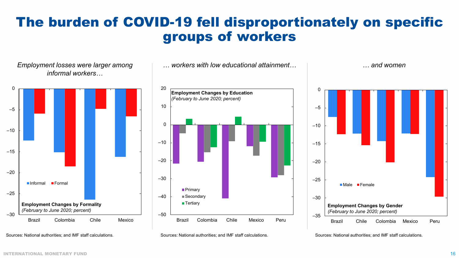### The burden of COVID-19 fell disproportionately on specific groups of workers

*Employment losses were larger among informal workers…*



*… workers with low educational attainment… … and women*





Sources: National authorities; and IMF staff calculations. Sources: National authorities; and IMF staff calculations. Sources: National authorities; and IMF staff calculations.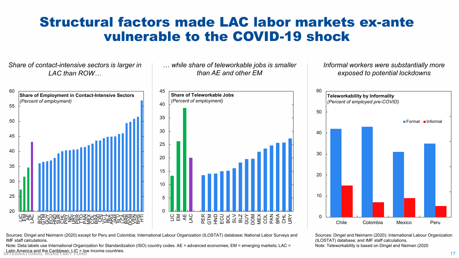#### Structural factors made LAC labor markets ex-ante vulnerable to the COVID-19 shock

*Share of contact-intensive sectors is larger in LAC than ROW…*



*… while share of teleworkable jobs is smaller than AE and other EM*



*Informal workers were substantially more exposed to potential lockdowns*



Sources: Dingel and Neimann (2020) except for Peru and Colombia; International Labour Organization (ILOSTAT) database; National Labor Surveys and IMF staff calculations.

INTERNATIONAL MONETARY FUND 1799 AND 1999 AND 17 AND 17 AND 17 AND 17 AND 17 AND 17 AND 17 AND 17 AND 17 AND 17 Note: Data labels use International Organization for Standardization (ISO) country codes. AE = advanced economies; EM = emerging markets; LAC = Latin America and the Caribbean;  $LIC = low$  income countries.

Sources: Dingel and Neimann (2020); International Labour Organization (ILOSTAT) database; and IMF staff calculations. Note: Teleworkability is based on Dingel and Neiman (2020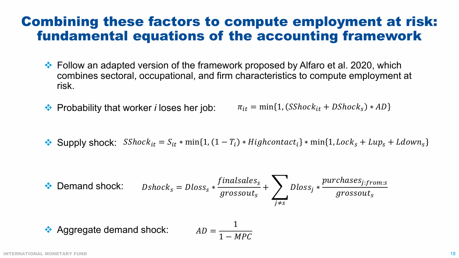#### Combining these factors to compute employment at risk: fundamental equations of the accounting framework

- ◆ Follow an adapted version of the framework proposed by Alfaro et al. 2020, which combines sectoral, occupational, and firm characteristics to compute employment at risk.
- Probability that worker *i* loses her job:  $\pi_{it} = \min\{1, (SShock_{it} + DShock_{s}) * AD\}$
- Supply shock:  $Sshock_{it} = S_{it} * min\{1, (1 T_i) * Highcontact_i\} * min\{1, Lock_s + Lup_s + Ldown_s\}$

$$
\sum_{s} \text{ Demand shock:} \qquad \text{Dshock}_s = \text{Dloss}_s * \frac{\text{finalsales}_s}{\text{grossout}_s} + \sum_{j \neq s} \text{Dloss}_j * \frac{\text{purehases}_{j:from:s}}{\text{grossout}_s}
$$

★ Aggregate demand shock:

\n
$$
AD = \frac{1}{1 - MPC}
$$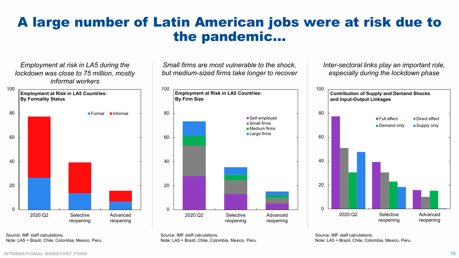### A large number of Latin American jobs were at risk due to the pandemic…

*Employment at risk in LA5 during the lockdown was close to 75 million, mostly informal workers*



*Small firms are most vulnerable to the shock, but medium-sized firms take longer to recover*



*Inter-sectoral links play an important role, especially during the lockdown phase*



Source: IMF staff calculations. Note: LA5 = Brazil, Chile, Colombia, Mexico, Peru.

Source: IMF staff calculations. Note: LA5 = Brazil, Chile, Colombia, Mexico, Peru.

Source: IMF staff calculations. Note: LA5 = Brazil, Chile, Colombia, Mexico, Peru.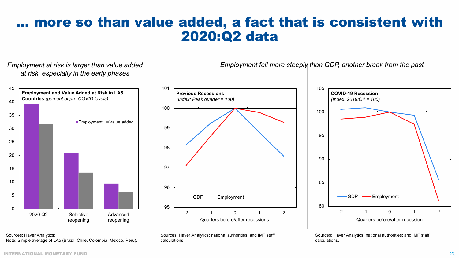#### more so than value added, a fact that is consistent with 2020:Q2 data

*Employment at risk is larger than value added at risk, especially in the early phases*



Sources: Haver Analytics; Note: Simple average of LA5 (Brazil, Chile, Colombia, Mexico, Peru).



Sources: Haver Analytics; national authorities; and IMF staff calculations.

*Employment fell more steeply than GDP, another break from the past*



Sources: Haver Analytics; national authorities; and IMF staff calculations.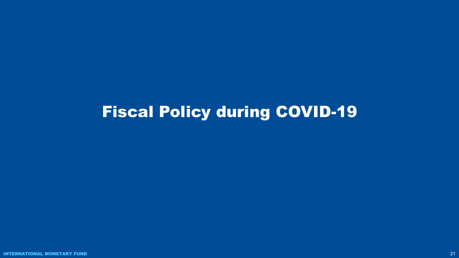## Fiscal Policy during COVID-19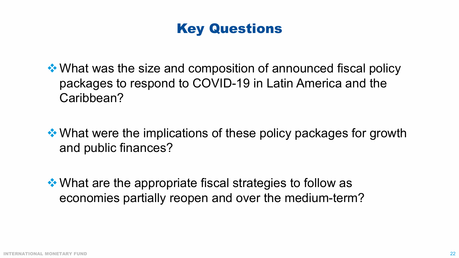### **Key Questions**

**What was the size and composition of announced fiscal policy** packages to respond to COVID-19 in Latin America and the Caribbean?

◆ What were the implications of these policy packages for growth and public finances?

**❖ What are the appropriate fiscal strategies to follow as** economies partially reopen and over the medium-term?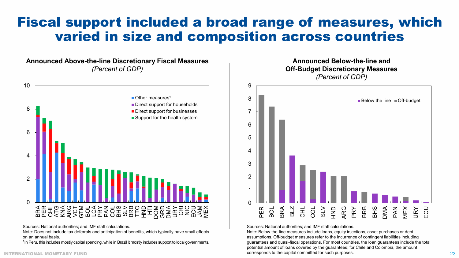#### Fiscal support included a broad range of measures, which varied in size and composition across countries

**Announced Above-the-line Discretionary Fiscal Measures** *(Percent of GDP)*



Sources: National authorities; and IMF staff calculations.

Note: Does not include tax deferrals and anticipation of benefits, which typically have small effects on an annual basis.

<sup>1</sup>In Peru, this includes mostly capital spending, while in Brazil it mostly includes support to local governments.

**Announced Below-the-line and Off-Budget Discretionary Measures** *(Percent of GDP)*



Sources: National authorities; and IMF staff calculations.

INTERNATIONAL MONETARY FUND 23 respectively. The corresponds to the capital committed for such purposes. The corresponds to the capital committed for such purposes. The corresponds to the capital committed for such purpose Note: Below-the-line measures include loans, equity injections, asset purchases or debt assumptions. Off-budget measures refer to the incurrence of contingent liabilities including guarantees and quasi-fiscal operations. For most countries, the loan guarantees include the total potential amount of loans covered by the guarantees; for Chile and Colombia, the amount corresponds to the capital committed for such purposes.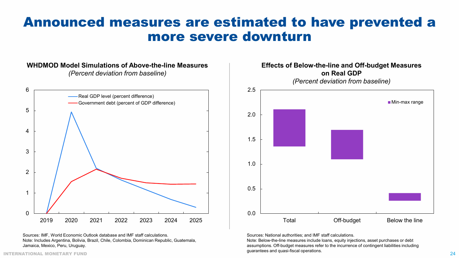#### Announced measures are estimated to have prevented a more severe downturn

#### **WHDMOD Model Simulations of Above-the-line Measures** *(Percent deviation from baseline)*



Sources: IMF, World Economic Outlook database and IMF staff calculations. Note: Includes Argentina, Bolivia, Brazil, Chile, Colombia, Dominican Republic, Guatemala, Jamaica, Mexico, Peru, Uruguay.

#### **Effects of Below-the-line and Off-budget Measures on Real GDP**

*(Percent deviation from baseline)*



Sources: National authorities; and IMF staff calculations.

INTERNATIONAL MONETARY FUND 24 Note: Below-the-line measures include loans, equity injections, asset purchases or debt assumptions. Off-budget measures refer to the incurrence of contingent liabilities including guarantees and quasi-fiscal operations.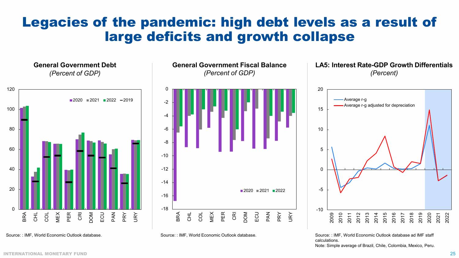#### Legacies of the pandemic: high debt levels as a result of large deficits and growth collapse



**General Government Fiscal Balance** *(Percent of GDP)*



**LA5: Interest Rate-GDP Growth Differentials** *(Percent)*



Source: : IMF, World Economic Outlook database. The Source: : IMF, World Economic Outlook database. Source: : IMF, World Economic Outlook database ad IMF staff calculations.

Note: Simple average of Brazil, Chile, Colombia, Mexico, Peru.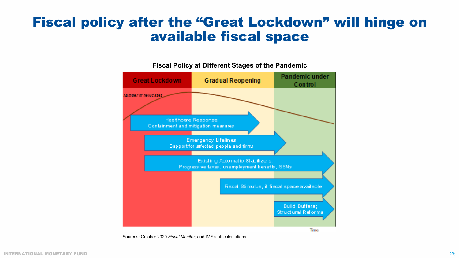#### Fiscal policy after the "Great Lockdown" will hinge on available fiscal space



**Fiscal Policy at Different Stages of the Pandemic**

Sources: October 2020 *Fiscal Monitor;* and IMF staff calculations.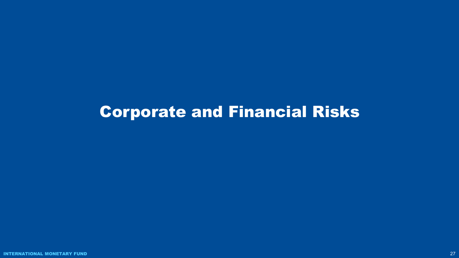## Corporate and Financial Risks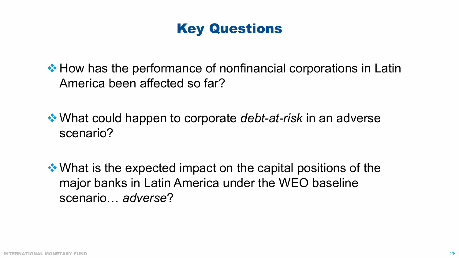### **Key Questions**

 $\cdot$  How has the performance of nonfinancial corporations in Latin America been affected so far?

What could happen to corporate *debt-at-risk* in an adverse scenario?

◆ What is the expected impact on the capital positions of the major banks in Latin America under the WEO baseline scenario… *adverse*?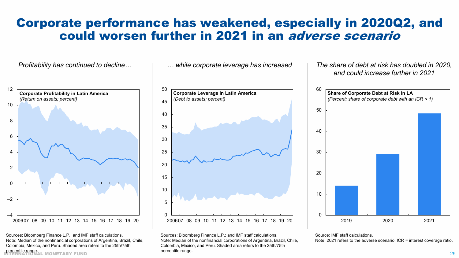#### Corporate performance has weakened, especially in 2020Q2, and could worsen further in 2021 in an adverse scenario



INTERNATIONAL MONETARY FUND 29 Sources: Bloomberg Finance L.P.; and IMF staff calculations. Note: Median of the nonfinancial corporations of Argentina, Brazil, Chile, Colombia, Mexico, and Peru. Shaded area refers to the 25th/75th percentile range.



Sources: Bloomberg Finance L.P.; and IMF staff calculations. Note: Median of the nonfinancial corporations of Argentina, Brazil, Chile, Colombia, Mexico, and Peru. Shaded area refers to the 25th/75th percentile range.

*Profitability has continued to decline… … while corporate leverage has increased The share of debt at risk has doubled in 2020, and could increase further in 2021*



Source: IMF staff calculations. Note: 2021 refers to the adverse scenario. ICR = interest coverage ratio.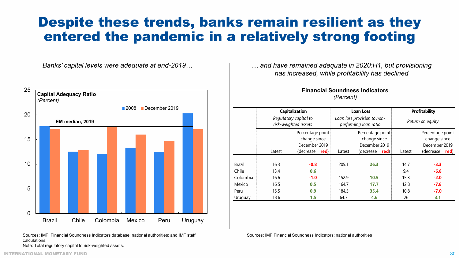#### Despite these trends, banks remain resilient as they entered the pandemic in a relatively strong footing

*Banks' capital levels were adequate at end-2019…*



Sources: IMF, Financial Soundness Indicators database; national authorities; and IMF staff calculations.

Note: Total regulatory capital to risk-weighted assets.

*… and have remained adequate in 2020:H1, but provisioning has increased, while profitability has declined*

> **Financial Soundness Indicators** *(Percent)*

|               | <b>Capitalization</b><br>Regulatory capital to<br>risk-weighted assets |                                                   |        | <b>Loan Loss</b>                                     | <b>Profitability</b><br>Return on equity |                                                   |  |  |  |
|---------------|------------------------------------------------------------------------|---------------------------------------------------|--------|------------------------------------------------------|------------------------------------------|---------------------------------------------------|--|--|--|
|               |                                                                        |                                                   |        | Loan loss provision to non-<br>performing loan ratio |                                          |                                                   |  |  |  |
|               |                                                                        | Percentage point<br>change since<br>December 2019 |        | Percentage point<br>change since<br>December 2019    |                                          | Percentage point<br>change since<br>December 2019 |  |  |  |
|               | Latest                                                                 | (decrease = red)                                  | Latest | (decrease = $red$ )                                  | Latest                                   | (decrease = $red$ )                               |  |  |  |
|               |                                                                        |                                                   |        |                                                      |                                          |                                                   |  |  |  |
| <b>Brazil</b> | 16.3                                                                   | $-0.8$                                            | 205.1  | 26.3                                                 | 14.7                                     | $-3.3$                                            |  |  |  |
| Chile         | 13.4                                                                   | 0.6                                               |        |                                                      | 9.4                                      | $-6.8$                                            |  |  |  |
| Colombia      | 16.6                                                                   | $-1.0$                                            | 152.9  | 10.5                                                 | 15.3                                     | $-2.0$                                            |  |  |  |
| Mexico        | 16.5                                                                   | 0.5                                               | 164.7  | 17.7                                                 | 12.8                                     | $-7.8$                                            |  |  |  |
| Peru          | 15.5                                                                   | 0.9                                               | 184.5  | 35.4                                                 | 10.8                                     | $-7.0$                                            |  |  |  |
| Uruguay       | 18.6                                                                   | 1.5                                               | 64.7   | 4.6                                                  | 26                                       | 3.1                                               |  |  |  |

Sources: IMF Financial Soundness Indicators; national authorities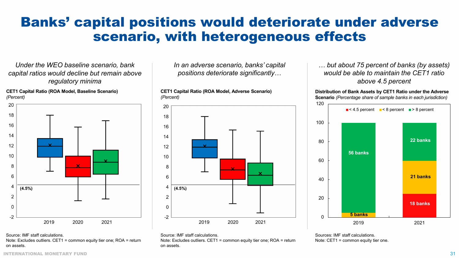#### Banks' capital positions would deteriorate under adverse scenario, with heterogeneous effects

*Under the WEO baseline scenario, bank capital ratios would decline but remain above regulatory minima*

**CET1 Capital Ratio (ROA Model, Baseline Scenario)** *(Percent)*



Source: IMF staff calculations. Note: Excludes outliers. CET1 = common equity tier one; ROA = return on assets.

*In an adverse scenario, banks' capital positions deteriorate significantly…*

**CET1 Capital Ratio (ROA Model, Adverse Scenario)** *(Percent)*

Source: IMF staff calculations.

on assets.



Note: Excludes outliers. CET1 = common equity tier one; ROA = return

*… but about 75 percent of banks (by assets) would be able to maintain the CET1 ratio above 4.5 percent*

**Distribution of Bank Assets by CET1 Ratio under the Adverse Scenario** *(Percentage share of sample banks in each jurisdiction)*



Sources: IMF staff calculations. Note: CET1 = common equity tier one.

#### INTERNATIONAL MONETARY FUND 31